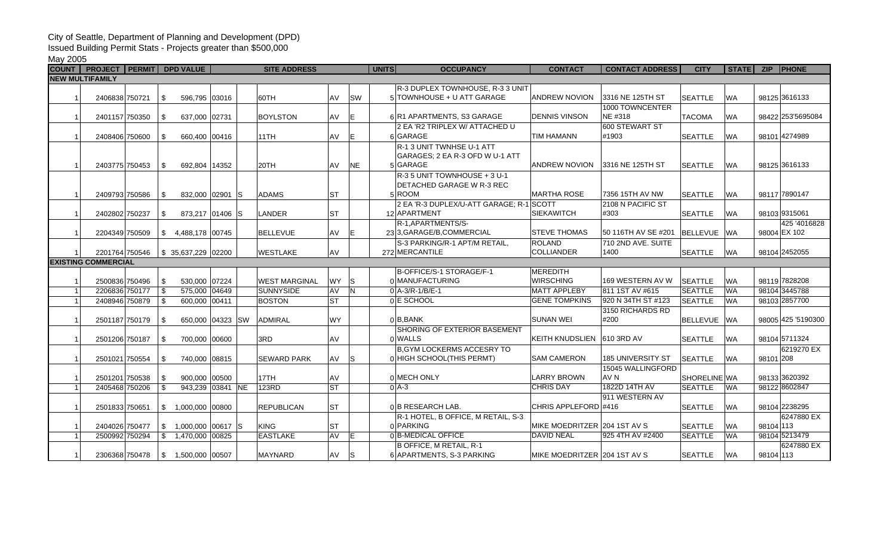## City of Seattle, Department of Planning and Development (DPD)

Issued Building Permit Stats - Projects greater than \$500,000

May 2005

| <b>COUNT</b>            | <b>PROJECT PERMIT DPD VALUE</b>     |                       |                  | <b>SITE ADDRESS</b>  |           |              | <b>UNITS</b><br><b>OCCUPANCY</b>         | <b>CONTACT</b>               | <b>CONTACT ADDRESS</b>   | <b>CITY</b>     | <b>STATE</b> | <b>ZIP</b> | <b>PHONE</b>       |
|-------------------------|-------------------------------------|-----------------------|------------------|----------------------|-----------|--------------|------------------------------------------|------------------------------|--------------------------|-----------------|--------------|------------|--------------------|
| <b>NEW MULTIFAMILY</b>  |                                     |                       |                  |                      |           |              |                                          |                              |                          |                 |              |            |                    |
|                         |                                     |                       |                  |                      |           |              | R-3 DUPLEX TOWNHOUSE, R-3 3 UNIT         |                              |                          |                 |              |            |                    |
|                         | 2406838 750721                      | 596.795 03016<br>\$   |                  | 60TH                 | AV        | <b>SW</b>    | 5 TOWNHOUSE + U ATT GARAGE               | ANDREW NOVION                | 3316 NE 125TH ST         | <b>SEATTLE</b>  | <b>WA</b>    |            | 98125 3616133      |
|                         |                                     |                       |                  |                      |           |              |                                          |                              | 1000 TOWNCENTER          |                 |              |            |                    |
| -1                      | 2401157 750350                      | \$<br>637,000 02731   |                  | <b>BOYLSTON</b>      | AV        | E            | 6 R1 APARTMENTS, S3 GARAGE               | <b>DENNIS VINSON</b>         | NE #318                  | <b>TACOMA</b>   | <b>WA</b>    |            | 98422 253 5695084  |
|                         |                                     |                       |                  |                      |           |              | 2 EA 'R2 TRIPLEX W/ ATTACHED U           |                              | 600 STEWART ST           |                 |              |            |                    |
|                         | 2408406 750600                      | 660,400 00416<br>\$   |                  | 11TH                 | AV        | E            | 6 GARAGE                                 | <b>TIM HAMANN</b>            | #1903                    | <b>SEATTLE</b>  | <b>WA</b>    |            | 98101 4274989      |
|                         |                                     |                       |                  |                      |           |              | R-1 3 UNIT TWNHSE U-1 ATT                |                              |                          |                 |              |            |                    |
|                         |                                     |                       |                  |                      |           |              | GARAGES; 2 EA R-3 OFD W U-1 ATT          |                              |                          |                 |              |            |                    |
|                         | 2403775 750453                      | \$<br>692,804 14352   |                  | 20TH                 | AV        | <b>NE</b>    | 5 GARAGE                                 | ANDREW NOVION                | 3316 NE 125TH ST         | <b>SEATTLE</b>  | <b>WA</b>    |            | 98125 3616133      |
|                         |                                     |                       |                  |                      |           |              | R-3 5 UNIT TOWNHOUSE + 3 U-1             |                              |                          |                 |              |            |                    |
|                         |                                     |                       |                  |                      |           |              | DETACHED GARAGE W R-3 REC                |                              |                          |                 |              |            |                    |
|                         | 2409793 750586                      | \$                    | 832,000 02901 S  | <b>ADAMS</b>         | <b>ST</b> |              | 5ROOM                                    | <b>MARTHA ROSE</b>           | 7356 15TH AV NW          | <b>SEATTLE</b>  | <b>WA</b>    |            | 98117 7890147      |
|                         |                                     |                       |                  |                      |           |              | 2 EA 'R-3 DUPLEX/U-ATT GARAGE: R-1 SCOTT |                              | 2108 N PACIFIC ST        |                 |              |            |                    |
|                         | 2402802 750237                      | \$                    | 873,217 01406 S  | LANDER               | <b>ST</b> |              | 12 APARTMENT                             | <b>SIEKAWITCH</b>            | #303                     | <b>SEATTLE</b>  | <b>WA</b>    |            | 98103 9315061      |
|                         |                                     |                       |                  |                      |           |              | R-1, APARTMENTS/S-                       |                              |                          |                 |              |            | 425 '4016828       |
| - 1                     | 2204349 750509                      | 4,488,178 00745<br>\$ |                  | <b>BELLEVUE</b>      | AV        | E            | 23 3, GARAGE/B, COMMERCIAL               | <b>STEVE THOMAS</b>          | 50 116TH AV SE #201      | BELLEVUE        | <b>WA</b>    |            | 98004 EX 102       |
|                         |                                     |                       |                  |                      |           |              | S-3 PARKING/R-1 APT/M RETAIL,            | <b>ROLAND</b>                | 710 2ND AVE. SUITE       |                 |              |            |                    |
|                         | 2201764 750546                      | $$35,637,229$ 02200   |                  | <b>WESTLAKE</b>      | AV        |              | 272 MERCANTILE                           | COLLIANDER                   | 1400                     | <b>SEATTLE</b>  | <b>WA</b>    |            | 98104 2452055      |
|                         | <b>EXISTING COMMERCIAL</b>          |                       |                  |                      |           |              |                                          |                              |                          |                 |              |            |                    |
|                         |                                     |                       |                  |                      |           |              | B-OFFICE/S-1 STORAGE/F-1                 | MEREDITH                     |                          |                 |              |            |                    |
|                         | 2500836 750496                      | 530,000 07224<br>\$   |                  | <b>WEST MARGINAL</b> | <b>WY</b> | ls           | 0 MANUFACTURING                          | <b>WIRSCHING</b>             | 169 WESTERN AV W         | <b>SEATTLE</b>  | <b>WA</b>    |            | 98119 7828208      |
| $\overline{1}$          | 2206836 750177                      | 575,000 04649<br>\$   |                  | <b>SUNNYSIDE</b>     | AV        | N            | 0 A-3/R-1/B/E-1                          | <b>MATT APPLEBY</b>          | 811 1ST AV #615          | <b>SEATTLE</b>  | <b>WA</b>    |            | 98104 3445788      |
| $\overline{\mathbf{1}}$ | 2408946 750879                      | 600,000 00411<br>\$   |                  | <b>BOSTON</b>        | <b>ST</b> |              | 0 E SCHOOL                               | <b>GENE TOMPKINS</b>         | 920 N 34TH ST #123       | <b>SEATTLE</b>  | <b>WA</b>    |            | 98103 2857700      |
|                         |                                     |                       |                  |                      |           |              |                                          |                              | 3150 RICHARDS RD         |                 |              |            |                    |
| -1                      | 2501187 750179                      | \$                    | 650,000 04323 SW | ADMIRAL              | <b>WY</b> |              | $0$ B, BANK                              | <b>SUNAN WEI</b>             | #200                     | <b>BELLEVUE</b> | <b>WA</b>    |            | 98005 425 '5190300 |
|                         |                                     |                       |                  |                      |           |              | <b>SHORING OF EXTERIOR BASEMENT</b>      |                              |                          |                 |              |            |                    |
|                         | 2501206 750187                      | 700,000 00600<br>\$   |                  | 3RD                  | AV        |              | 0 WALLS                                  | <b>KEITH KNUDSLIEN</b>       | 610 3RD AV               | <b>SEATTLE</b>  | <b>WA</b>    |            | 98104 5711324      |
|                         |                                     |                       |                  |                      |           |              | <b>B, GYM LOCKERMS ACCESRY TO</b>        |                              |                          |                 |              |            | 6219270 EX         |
|                         | 2501021 750554                      | 740,000 08815<br>\$   |                  | <b>SEWARD PARK</b>   | <b>AV</b> | <sub>S</sub> | 0 HIGH SCHOOL(THIS PERMT)                | <b>SAM CAMERON</b>           | <b>185 UNIVERSITY ST</b> | <b>SEATTLE</b>  | <b>WA</b>    | 98101 208  |                    |
|                         |                                     |                       |                  |                      |           |              |                                          |                              | 15045 WALLINGFORD        |                 |              |            |                    |
|                         | 2501201 750538                      | 900,000 00500<br>\$   |                  | 17TH                 | AV        |              | 0 MECH ONLY                              | <b>LARRY BROWN</b>           | AV N                     | SHORELINE WA    |              |            | 98133 3620392      |
| -1                      | 2405468 750206                      | \$                    | 943,239 03841 NE | 123RD                | <b>ST</b> |              | $0$ A-3                                  | <b>CHRIS DAY</b>             | 1822D 14TH AV            | <b>SEATTLE</b>  | <b>WA</b>    |            | 98122 8602847      |
|                         |                                     |                       |                  |                      |           |              |                                          |                              | 911 WESTERN AV           |                 |              |            |                    |
| -1                      | 2501833 750651                      | $$ 1,000,000$ 00800   |                  | <b>REPUBLICAN</b>    | <b>ST</b> |              | 0 B RESEARCH LAB.                        | CHRIS APPLEFORD #416         |                          | <b>SEATTLE</b>  | <b>WA</b>    |            | 98104 2238295      |
|                         |                                     |                       |                  |                      |           |              | R-1 HOTEL, B OFFICE, M RETAIL, S-3       |                              |                          |                 |              |            | 6247880 EX         |
|                         | 2404026 750477                      | $$1,000,000$ 00617 S  |                  | <b>KING</b>          | <b>ST</b> |              | 0 PARKING                                | MIKE MOEDRITZER 204 1ST AV S |                          | <b>SEATTLE</b>  | <b>WA</b>    | 98104 113  |                    |
| - 1                     | 2500992 750294                      | $$1,470,000$ 00825    |                  | <b>EASTLAKE</b>      | AV        | IE.          | 0 B-MEDICAL OFFICE                       | <b>DAVID NEAL</b>            | 925 4TH AV #2400         | <b>SEATTLE</b>  | <b>WA</b>    |            | 98104 5213479      |
|                         |                                     |                       |                  |                      |           |              | B OFFICE, M RETAIL, R-1                  |                              |                          |                 |              |            | 6247880 EX         |
|                         | 2306368 750478   \$ 1,500,000 00507 |                       |                  | <b>MAYNARD</b>       | AV        | IS.          | 6 APARTMENTS, S-3 PARKING                | MIKE MOEDRITZER 204 1ST AV S |                          | SEATTLE         | <b>WA</b>    | 98104 113  |                    |